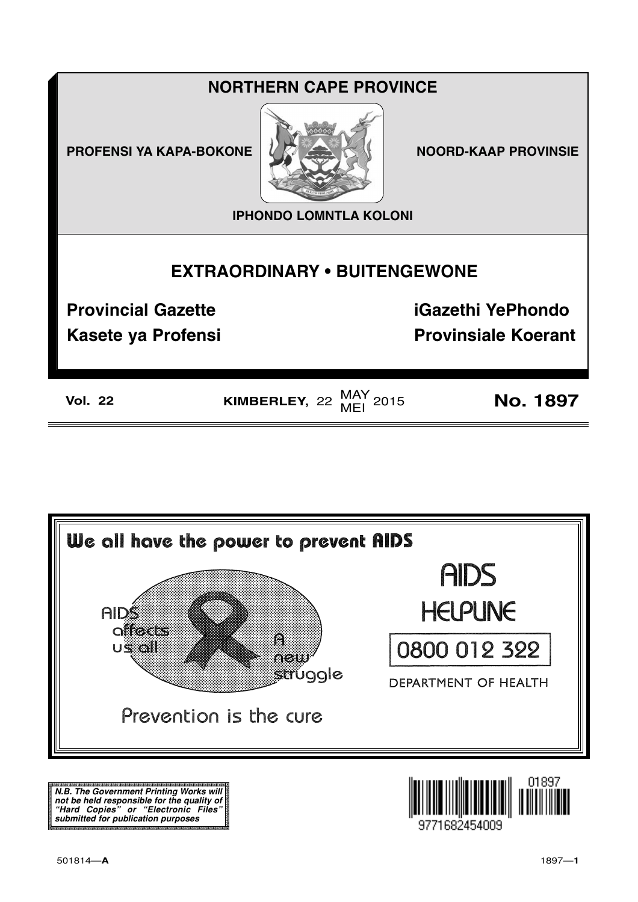## **NORTHERN CAPE PROVINCE**

**PROFENSI YA KAPA-BOKONE NOORD-KAAP PROVINSIE** 



**IPHONDO LOMNTLA KOLONI**

### **EXTRAORDINARY • BUITENGEWONE**

**Provincial Gazette iGazethi YePhondo**

**Kasete ya Profensi Provinsiale Koerant** 

**Vol. 22 KIMBERLEY**, 22  $\frac{\text{MAY}}{\text{MEI}}$  2015 **No. 1897** 



**N.B. The Government Printing Works will not be held responsible for the quality of "Hard Copies" or "Electronic Files" submitted for publication purposes**

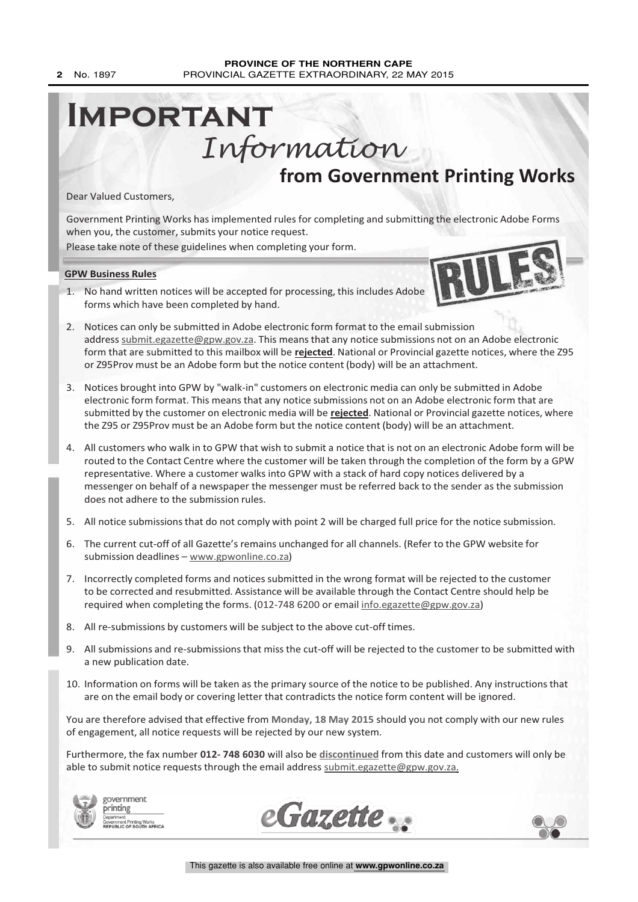# **from Government Printing Works Important** Information

Dear Valued Customers,

Government Printing Works has implemented rules for completing and submitting the electronic Adobe Forms when you, the customer, submits your notice request.

Please take note of these guidelines when completing your form.

**GPW Business Rules**

- 1. No hand written notices will be accepted for processing, this includes Adobe forms which have been completed by hand.
- 2. Notices can only be submitted in Adobe electronic form format to the email submission address submit.egazette@gpw.gov.za. This means that any notice submissions not on an Adobe electronic form that are submitted to this mailbox will be **rejected**. National or Provincial gazette notices, where the Z95 or Z95Prov must be an Adobe form but the notice content (body) will be an attachment.
- 3. Notices brought into GPW by "walk-in" customers on electronic media can only be submitted in Adobe electronic form format. This means that any notice submissions not on an Adobe electronic form that are submitted by the customer on electronic media will be **rejected**. National or Provincial gazette notices, where the Z95 or Z95Prov must be an Adobe form but the notice content (body) will be an attachment.
- 4. All customers who walk in to GPW that wish to submit a notice that is not on an electronic Adobe form will be routed to the Contact Centre where the customer will be taken through the completion of the form by a GPW representative. Where a customer walks into GPW with a stack of hard copy notices delivered by a messenger on behalf of a newspaper the messenger must be referred back to the sender as the submission does not adhere to the submission rules.
- 5. All notice submissions that do not comply with point 2 will be charged full price for the notice submission.
- 6. The current cut-off of all Gazette's remains unchanged for all channels. (Refer to the GPW website for submission deadlines – www.gpwonline.co.za)
- 7. Incorrectly completed forms and notices submitted in the wrong format will be rejected to the customer to be corrected and resubmitted. Assistance will be available through the Contact Centre should help be required when completing the forms. (012-748 6200 or email info.egazette@gpw.gov.za)
- 8. All re-submissions by customers will be subject to the above cut-off times.
- 9. All submissions and re-submissions that miss the cut-off will be rejected to the customer to be submitted with a new publication date.
- 10. Information on forms will be taken as the primary source of the notice to be published. Any instructions that are on the email body or covering letter that contradicts the notice form content will be ignored.

You are therefore advised that effective from **Monday, 18 May 2015** should you not comply with our new rules of engagement, all notice requests will be rejected by our new system.

Furthermore, the fax number **012- 748 6030** will also be **discontinued** from this date and customers will only be able to submit notice requests through the email address submit.egazette@gpw.gov.za.









IRU LEEKS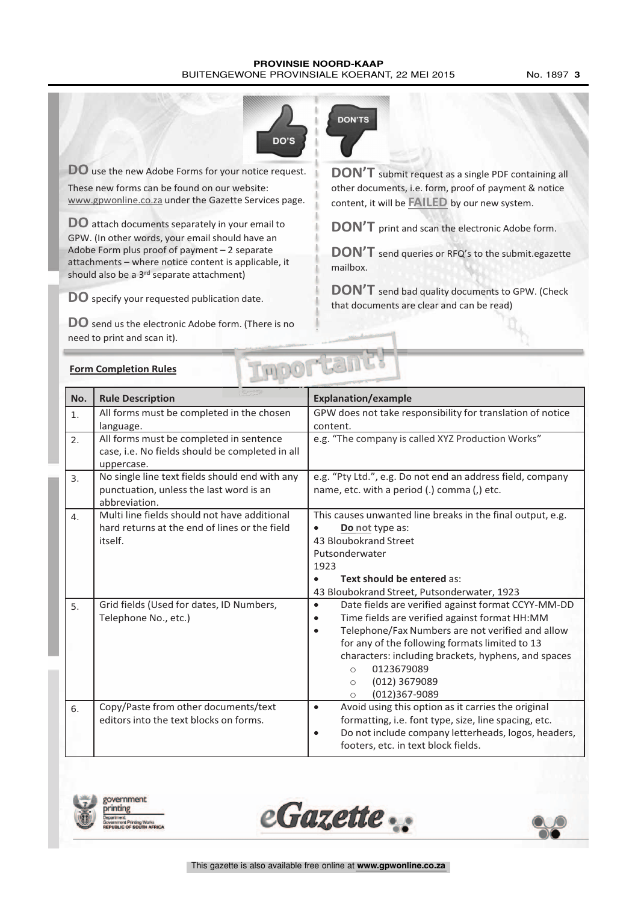#### **PROVINSIE NOORD-KAAP** BUITENGEWONE PROVINSIALE KOERANT, 22 MEI 2015 No. 1897 3



**DO** use the new Adobe Forms for your notice request. These new forms can be found on our website: www.gpwonline.co.za under the Gazette Services page.

**DO** attach documents separately in your email to GPW. (In other words, your email should have an Adobe Form plus proof of payment – 2 separate attachments – where notice content is applicable, it should also be a 3<sup>rd</sup> separate attachment)

**DO** specify your requested publication date.

**DO** send us the electronic Adobe form. (There is no need to print and scan it).



**DON'T** submit request as <sup>a</sup> single PDF containing all other documents, i.e. form, proof of payment & notice content, it will be **FAILED** by our new system.

**DON'T** print and scan the electronic Adobe form.

**DON'T** send queries or RFQ's to the submit.egazette mailbox.

**DON'T** send bad quality documents to GPW. (Check that documents are clear and can be read)

|  | <b>Form Completion Rules</b> |  |
|--|------------------------------|--|
|  |                              |  |

|                                                                                                                  | DOLTEST<br><b>Form Completion Rules</b>                                                                  |                                                                                                                                                                                                                                                                                                                                                                                             |  |  |  |
|------------------------------------------------------------------------------------------------------------------|----------------------------------------------------------------------------------------------------------|---------------------------------------------------------------------------------------------------------------------------------------------------------------------------------------------------------------------------------------------------------------------------------------------------------------------------------------------------------------------------------------------|--|--|--|
| No.                                                                                                              | <b>Rule Description</b>                                                                                  | <b>Explanation/example</b>                                                                                                                                                                                                                                                                                                                                                                  |  |  |  |
| 1.                                                                                                               | All forms must be completed in the chosen<br>language.                                                   | GPW does not take responsibility for translation of notice<br>content.                                                                                                                                                                                                                                                                                                                      |  |  |  |
| 2.                                                                                                               | All forms must be completed in sentence<br>case, i.e. No fields should be completed in all<br>uppercase. | e.g. "The company is called XYZ Production Works"                                                                                                                                                                                                                                                                                                                                           |  |  |  |
| No single line text fields should end with any<br>3.<br>punctuation, unless the last word is an<br>abbreviation. |                                                                                                          | e.g. "Pty Ltd.", e.g. Do not end an address field, company<br>name, etc. with a period (.) comma (,) etc.                                                                                                                                                                                                                                                                                   |  |  |  |
| $\overline{4}$ .                                                                                                 | Multi line fields should not have additional<br>hard returns at the end of lines or the field<br>itself. | This causes unwanted line breaks in the final output, e.g.<br>Do not type as:<br>43 Bloubokrand Street<br>Putsonderwater<br>1923<br>Text should be entered as:<br>43 Bloubokrand Street, Putsonderwater, 1923                                                                                                                                                                               |  |  |  |
| 5.                                                                                                               | Grid fields (Used for dates, ID Numbers,<br>Telephone No., etc.)                                         | Date fields are verified against format CCYY-MM-DD<br>$\bullet$<br>Time fields are verified against format HH:MM<br>$\bullet$<br>Telephone/Fax Numbers are not verified and allow<br>$\bullet$<br>for any of the following formats limited to 13<br>characters: including brackets, hyphens, and spaces<br>0123679089<br>$\bigcirc$<br>(012) 3679089<br>$\circ$<br>(012)367-9089<br>$\circ$ |  |  |  |
| 6.                                                                                                               | Copy/Paste from other documents/text<br>editors into the text blocks on forms.                           | Avoid using this option as it carries the original<br>$\bullet$<br>formatting, i.e. font type, size, line spacing, etc.<br>Do not include company letterheads, logos, headers,<br>$\bullet$<br>footers, etc. in text block fields.                                                                                                                                                          |  |  |  |





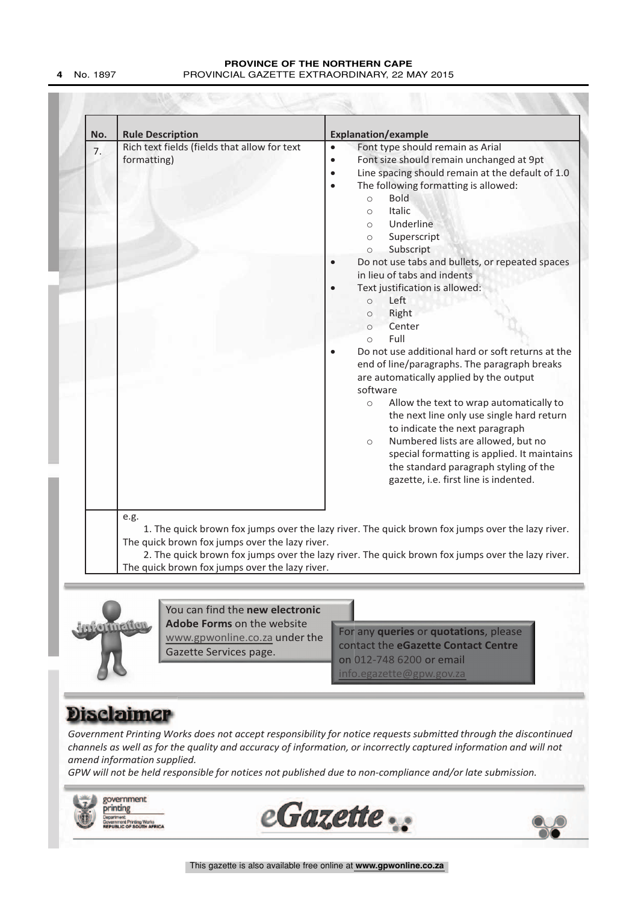| No. | <b>Rule Description</b>                                     | <b>Explanation/example</b>                                                                                                                                                                                                                                                                                                                                                                                                                                                                                                                                                                                                                                                                                                                                                                                                                                                                                                                                                                                                                         |
|-----|-------------------------------------------------------------|----------------------------------------------------------------------------------------------------------------------------------------------------------------------------------------------------------------------------------------------------------------------------------------------------------------------------------------------------------------------------------------------------------------------------------------------------------------------------------------------------------------------------------------------------------------------------------------------------------------------------------------------------------------------------------------------------------------------------------------------------------------------------------------------------------------------------------------------------------------------------------------------------------------------------------------------------------------------------------------------------------------------------------------------------|
| 7.  | Rich text fields (fields that allow for text<br>formatting) | Font type should remain as Arial<br>$\bullet$<br>Font size should remain unchanged at 9pt<br>$\bullet$<br>Line spacing should remain at the default of 1.0<br>$\bullet$<br>The following formatting is allowed:<br>$\bullet$<br><b>Bold</b><br>$\circ$<br><b>Italic</b><br>$\circ$<br>Underline<br>$\circ$<br>Superscript<br>$\circ$<br>Subscript<br>$\circ$<br>Do not use tabs and bullets, or repeated spaces<br>in lieu of tabs and indents<br>Text justification is allowed:<br>Left<br>$\circ$<br>Right<br>$\circ$<br>Center<br>$\circ$<br>Full<br>$\circ$<br>Do not use additional hard or soft returns at the<br>end of line/paragraphs. The paragraph breaks<br>are automatically applied by the output<br>software<br>Allow the text to wrap automatically to<br>$\circ$<br>the next line only use single hard return<br>to indicate the next paragraph<br>Numbered lists are allowed, but no<br>$\circ$<br>special formatting is applied. It maintains<br>the standard paragraph styling of the<br>gazette, i.e. first line is indented. |
|     | e.g.<br>The quick brown fox jumps over the lazy river.      | 1. The quick brown fox jumps over the lazy river. The quick brown fox jumps over the lazy river.<br>2. The quick brown fox jumps over the lazy river. The quick brown fox jumps over the lazy river.                                                                                                                                                                                                                                                                                                                                                                                                                                                                                                                                                                                                                                                                                                                                                                                                                                               |



You can find the **new electronic Adobe Forms** on the website www.gpwonline.co.za under the Gazette Services page.

**Experimedion**<br>
You can find the new electronic<br>
Adobe Forms on the website<br>
<u>www.gowonline.co.za</u> under the<br>
Gazette Services page.<br>
Contact the eGazette Contact Centre<br>
on 012-748 6200 or email<br>
Info.egazette@gow.gov.za For any **queries** or **quotations**, please contact the **eGazette Contact Centre** on 012-748 6200 or email  $info.egazette@gpw.gov$ 

**ment Printing Works<br>ILIC OF SOUTH AFRICA** 

*Government Printing Works does not accept responsibility for notice requests submitted through the discontinued channels as well as for the quality and accuracy of information, or incorrectly captured information and will not amend information supplied.*

*GPW will not be held responsible for notices not published due to non-compliance and/or late submission.*





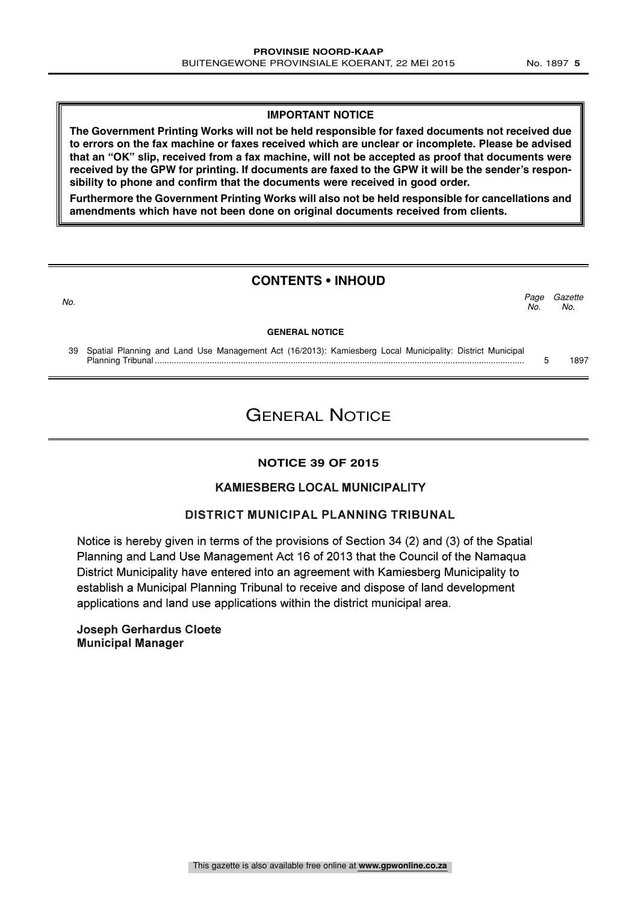#### **IMPORTANT NOTICE**

**The Government Printing Works will not be held responsible for faxed documents not received due to errors on the fax machine or faxes received which are unclear or incomplete. Please be advised that an "OK" slip, received from a fax machine, will not be accepted as proof that documents were received by the GPW for printing. If documents are faxed to the GPW it will be the sender's responsibility to phone and confirm that the documents were received in good order.**

**Furthermore the Government Printing Works will also not be held responsible for cancellations and amendments which have not been done on original documents received from clients.**

### **CONTENTS • INHOUD**

#### **GENERAL NOTICE**

39 Spatial Planning and Land Use Management Act (16/2013): Kamiesberg Local Municipality: District Municipal Planning Tribunal ........................................................................................................................................................... 5 1897

### GENERAL NOTICE

#### **NOTICE 39 OF 2015**

#### KAMIESBERG LOCAL MUNICIPALITY

#### DISTRICT MUNICIPAL PLANNING TRIBUNAL

Notice is hereby given in terms of the provisions of Section 34 (2) and (3) of the Spatial Planning and Land Use Management Act 16 of 2013 that the Council of the Namaqua District Municipality have entered into an agreement with Kamiesberg Municipality to establish a Municipal Planning Tribunal to receive and dispose of land development applications and land use applications within the district municipal area.

Joseph Gerhardus Cloete Municipal Manager

**Gazette** No.

Page<br>No.

No.  $\sim$  No.